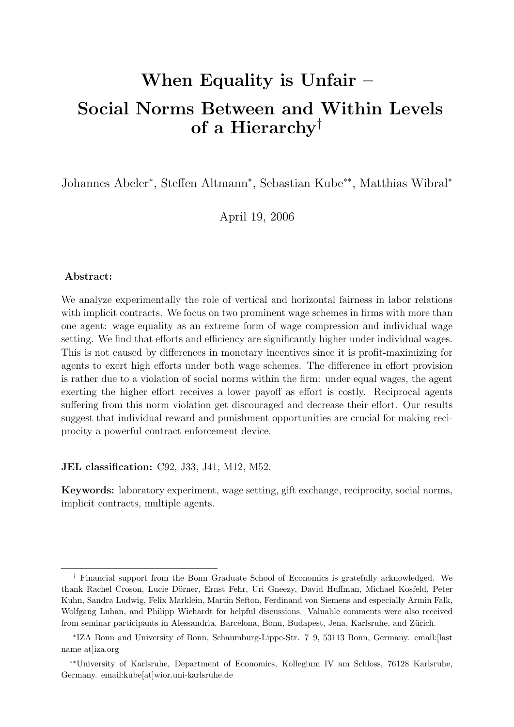# When Equality is Unfair  $-$ Social Norms Between and Within Levels of a Hierarchy†

Johannes Abeler<sup>\*</sup>, Steffen Altmann<sup>\*</sup>, Sebastian Kube<sup>\*\*</sup>, Matthias Wibral<sup>\*</sup>

April 19, 2006

#### Abstract:

We analyze experimentally the role of vertical and horizontal fairness in labor relations with implicit contracts. We focus on two prominent wage schemes in firms with more than one agent: wage equality as an extreme form of wage compression and individual wage setting. We find that efforts and efficiency are significantly higher under individual wages. This is not caused by differences in monetary incentives since it is profit-maximizing for agents to exert high efforts under both wage schemes. The difference in effort provision is rather due to a violation of social norms within the firm: under equal wages, the agent exerting the higher effort receives a lower payoff as effort is costly. Reciprocal agents suffering from this norm violation get discouraged and decrease their effort. Our results suggest that individual reward and punishment opportunities are crucial for making reciprocity a powerful contract enforcement device.

JEL classification: C92, J33, J41, M12, M52.

Keywords: laboratory experiment, wage setting, gift exchange, reciprocity, social norms, implicit contracts, multiple agents.

<sup>†</sup> Financial support from the Bonn Graduate School of Economics is gratefully acknowledged. We thank Rachel Croson, Lucie Dörner, Ernst Fehr, Uri Gneezy, David Huffman, Michael Kosfeld, Peter Kuhn, Sandra Ludwig, Felix Marklein, Martin Sefton, Ferdinand von Siemens and especially Armin Falk, Wolfgang Luhan, and Philipp Wichardt for helpful discussions. Valuable comments were also received from seminar participants in Alessandria, Barcelona, Bonn, Budapest, Jena, Karlsruhe, and Zürich.

<sup>∗</sup> IZA Bonn and University of Bonn, Schaumburg-Lippe-Str. 7–9, 53113 Bonn, Germany. email:[last name at liza.org

<sup>∗∗</sup>University of Karlsruhe, Department of Economics, Kollegium IV am Schloss, 76128 Karlsruhe, Germany. email:kube[at]wior.uni-karlsruhe.de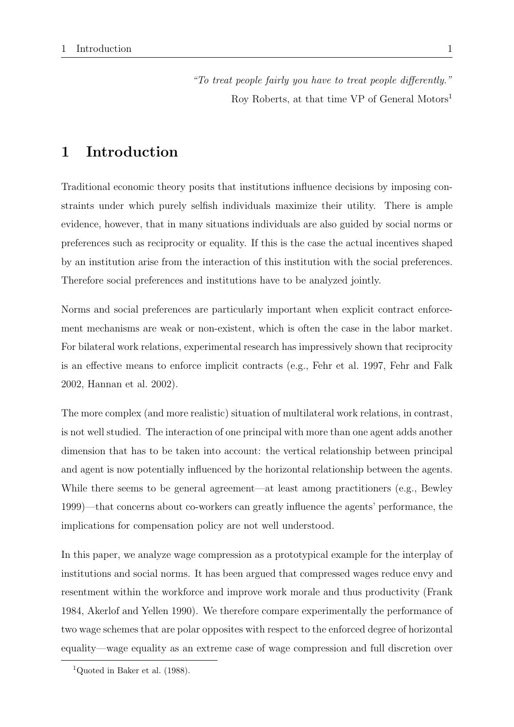"To treat people fairly you have to treat people differently." Roy Roberts, at that time VP of General Motors<sup>1</sup>

# 1 Introduction

Traditional economic theory posits that institutions influence decisions by imposing constraints under which purely selfish individuals maximize their utility. There is ample evidence, however, that in many situations individuals are also guided by social norms or preferences such as reciprocity or equality. If this is the case the actual incentives shaped by an institution arise from the interaction of this institution with the social preferences. Therefore social preferences and institutions have to be analyzed jointly.

Norms and social preferences are particularly important when explicit contract enforcement mechanisms are weak or non-existent, which is often the case in the labor market. For bilateral work relations, experimental research has impressively shown that reciprocity is an effective means to enforce implicit contracts (e.g., Fehr et al. 1997, Fehr and Falk 2002, Hannan et al. 2002).

The more complex (and more realistic) situation of multilateral work relations, in contrast, is not well studied. The interaction of one principal with more than one agent adds another dimension that has to be taken into account: the vertical relationship between principal and agent is now potentially influenced by the horizontal relationship between the agents. While there seems to be general agreement—at least among practitioners (e.g., Bewley 1999)—that concerns about co-workers can greatly influence the agents' performance, the implications for compensation policy are not well understood.

In this paper, we analyze wage compression as a prototypical example for the interplay of institutions and social norms. It has been argued that compressed wages reduce envy and resentment within the workforce and improve work morale and thus productivity (Frank 1984, Akerlof and Yellen 1990). We therefore compare experimentally the performance of two wage schemes that are polar opposites with respect to the enforced degree of horizontal equality—wage equality as an extreme case of wage compression and full discretion over

<sup>&</sup>lt;sup>1</sup>Quoted in Baker et al.  $(1988)$ .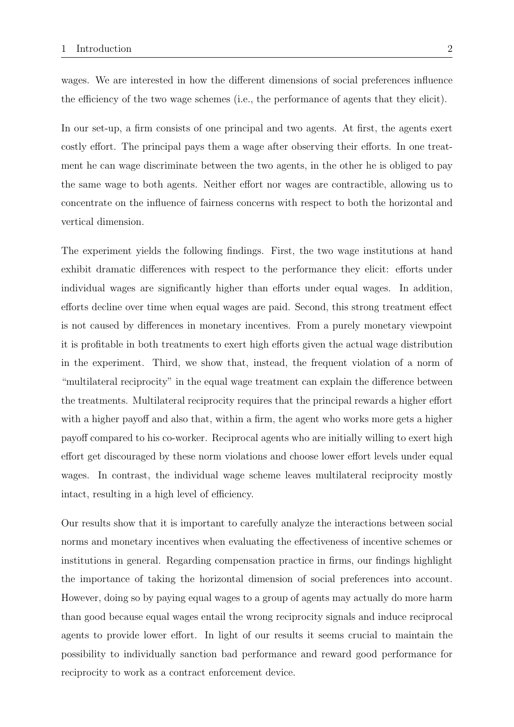wages. We are interested in how the different dimensions of social preferences influence the efficiency of the two wage schemes (i.e., the performance of agents that they elicit).

In our set-up, a firm consists of one principal and two agents. At first, the agents exert costly effort. The principal pays them a wage after observing their efforts. In one treatment he can wage discriminate between the two agents, in the other he is obliged to pay the same wage to both agents. Neither effort nor wages are contractible, allowing us to concentrate on the influence of fairness concerns with respect to both the horizontal and vertical dimension.

The experiment yields the following findings. First, the two wage institutions at hand exhibit dramatic differences with respect to the performance they elicit: efforts under individual wages are significantly higher than efforts under equal wages. In addition, efforts decline over time when equal wages are paid. Second, this strong treatment effect is not caused by differences in monetary incentives. From a purely monetary viewpoint it is profitable in both treatments to exert high efforts given the actual wage distribution in the experiment. Third, we show that, instead, the frequent violation of a norm of "multilateral reciprocity" in the equal wage treatment can explain the difference between the treatments. Multilateral reciprocity requires that the principal rewards a higher effort with a higher payoff and also that, within a firm, the agent who works more gets a higher payoff compared to his co-worker. Reciprocal agents who are initially willing to exert high effort get discouraged by these norm violations and choose lower effort levels under equal wages. In contrast, the individual wage scheme leaves multilateral reciprocity mostly intact, resulting in a high level of efficiency.

Our results show that it is important to carefully analyze the interactions between social norms and monetary incentives when evaluating the effectiveness of incentive schemes or institutions in general. Regarding compensation practice in firms, our findings highlight the importance of taking the horizontal dimension of social preferences into account. However, doing so by paying equal wages to a group of agents may actually do more harm than good because equal wages entail the wrong reciprocity signals and induce reciprocal agents to provide lower effort. In light of our results it seems crucial to maintain the possibility to individually sanction bad performance and reward good performance for reciprocity to work as a contract enforcement device.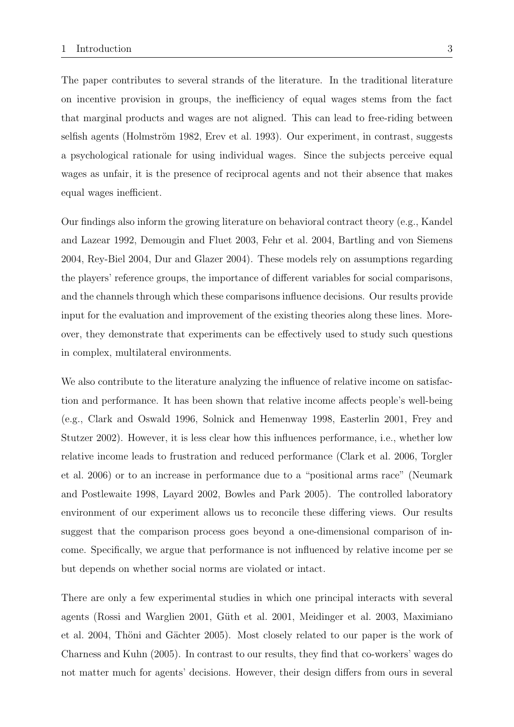The paper contributes to several strands of the literature. In the traditional literature on incentive provision in groups, the inefficiency of equal wages stems from the fact that marginal products and wages are not aligned. This can lead to free-riding between selfish agents (Holmström 1982, Erev et al. 1993). Our experiment, in contrast, suggests a psychological rationale for using individual wages. Since the subjects perceive equal wages as unfair, it is the presence of reciprocal agents and not their absence that makes equal wages inefficient.

Our findings also inform the growing literature on behavioral contract theory (e.g., Kandel and Lazear 1992, Demougin and Fluet 2003, Fehr et al. 2004, Bartling and von Siemens 2004, Rey-Biel 2004, Dur and Glazer 2004). These models rely on assumptions regarding the players' reference groups, the importance of different variables for social comparisons, and the channels through which these comparisons influence decisions. Our results provide input for the evaluation and improvement of the existing theories along these lines. Moreover, they demonstrate that experiments can be effectively used to study such questions in complex, multilateral environments.

We also contribute to the literature analyzing the influence of relative income on satisfaction and performance. It has been shown that relative income affects people's well-being (e.g., Clark and Oswald 1996, Solnick and Hemenway 1998, Easterlin 2001, Frey and Stutzer 2002). However, it is less clear how this influences performance, i.e., whether low relative income leads to frustration and reduced performance (Clark et al. 2006, Torgler et al. 2006) or to an increase in performance due to a "positional arms race" (Neumark and Postlewaite 1998, Layard 2002, Bowles and Park 2005). The controlled laboratory environment of our experiment allows us to reconcile these differing views. Our results suggest that the comparison process goes beyond a one-dimensional comparison of income. Specifically, we argue that performance is not influenced by relative income per se but depends on whether social norms are violated or intact.

There are only a few experimental studies in which one principal interacts with several agents (Rossi and Warglien 2001, Güth et al. 2001, Meidinger et al. 2003, Maximiano et al. 2004, Thöni and Gächter 2005). Most closely related to our paper is the work of Charness and Kuhn (2005). In contrast to our results, they find that co-workers' wages do not matter much for agents' decisions. However, their design differs from ours in several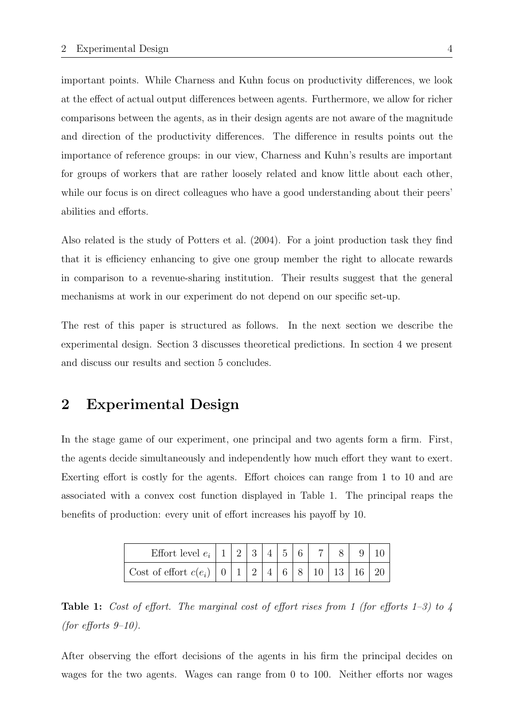important points. While Charness and Kuhn focus on productivity differences, we look at the effect of actual output differences between agents. Furthermore, we allow for richer comparisons between the agents, as in their design agents are not aware of the magnitude and direction of the productivity differences. The difference in results points out the importance of reference groups: in our view, Charness and Kuhn's results are important for groups of workers that are rather loosely related and know little about each other, while our focus is on direct colleagues who have a good understanding about their peers' abilities and efforts.

Also related is the study of Potters et al. (2004). For a joint production task they find that it is efficiency enhancing to give one group member the right to allocate rewards in comparison to a revenue-sharing institution. Their results suggest that the general mechanisms at work in our experiment do not depend on our specific set-up.

The rest of this paper is structured as follows. In the next section we describe the experimental design. Section 3 discusses theoretical predictions. In section 4 we present and discuss our results and section 5 concludes.

### 2 Experimental Design

In the stage game of our experiment, one principal and two agents form a firm. First, the agents decide simultaneously and independently how much effort they want to exert. Exerting effort is costly for the agents. Effort choices can range from 1 to 10 and are associated with a convex cost function displayed in Table 1. The principal reaps the benefits of production: every unit of effort increases his payoff by 10.

| Effort level $e_i$   1   2   3   4   5   6                                                        |  |  |  |  |  |
|---------------------------------------------------------------------------------------------------|--|--|--|--|--|
| Cost of effort $c(e_i) \mid 0 \mid 1 \mid 2 \mid 4 \mid 6 \mid 8 \mid 10 \mid 13 \mid 16 \mid 20$ |  |  |  |  |  |

**Table 1:** Cost of effort. The marginal cost of effort rises from 1 (for efforts 1–3) to 4 (for efforts  $9-10$ ).

After observing the effort decisions of the agents in his firm the principal decides on wages for the two agents. Wages can range from 0 to 100. Neither efforts nor wages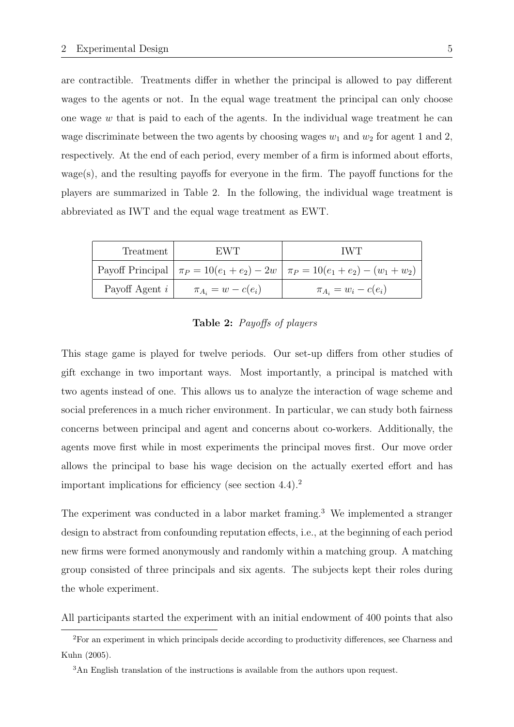are contractible. Treatments differ in whether the principal is allowed to pay different wages to the agents or not. In the equal wage treatment the principal can only choose one wage  $w$  that is paid to each of the agents. In the individual wage treatment he can wage discriminate between the two agents by choosing wages  $w_1$  and  $w_2$  for agent 1 and 2, respectively. At the end of each period, every member of a firm is informed about efforts, wage(s), and the resulting payoffs for everyone in the firm. The payoff functions for the players are summarized in Table 2. In the following, the individual wage treatment is abbreviated as IWT and the equal wage treatment as EWT.

| Treatment        | EWT.                     | TWT.                                                                              |
|------------------|--------------------------|-----------------------------------------------------------------------------------|
|                  |                          | Payoff Principal $\pi_P = 10(e_1 + e_2) - 2w \pi_P = 10(e_1 + e_2) - (w_1 + w_2)$ |
| Payoff Agent $i$ | $\pi_{A_i} = w - c(e_i)$ | $\pi_{A_i} = w_i - c(e_i)$                                                        |

Table 2: Payoffs of players

This stage game is played for twelve periods. Our set-up differs from other studies of gift exchange in two important ways. Most importantly, a principal is matched with two agents instead of one. This allows us to analyze the interaction of wage scheme and social preferences in a much richer environment. In particular, we can study both fairness concerns between principal and agent and concerns about co-workers. Additionally, the agents move first while in most experiments the principal moves first. Our move order allows the principal to base his wage decision on the actually exerted effort and has important implications for efficiency (see section  $4.4$ ).<sup>2</sup>

The experiment was conducted in a labor market framing.<sup>3</sup> We implemented a stranger design to abstract from confounding reputation effects, i.e., at the beginning of each period new firms were formed anonymously and randomly within a matching group. A matching group consisted of three principals and six agents. The subjects kept their roles during the whole experiment.

All participants started the experiment with an initial endowment of 400 points that also

<sup>2</sup>For an experiment in which principals decide according to productivity differences, see Charness and Kuhn (2005).

<sup>3</sup>An English translation of the instructions is available from the authors upon request.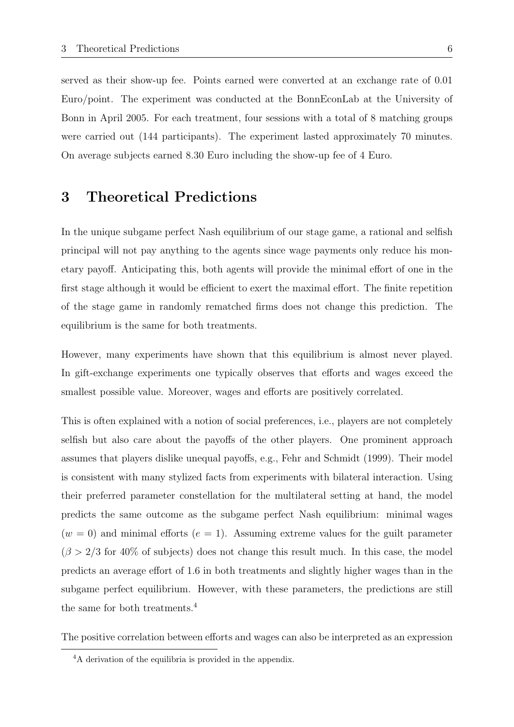served as their show-up fee. Points earned were converted at an exchange rate of 0.01 Euro/point. The experiment was conducted at the BonnEconLab at the University of Bonn in April 2005. For each treatment, four sessions with a total of 8 matching groups were carried out (144 participants). The experiment lasted approximately 70 minutes. On average subjects earned 8.30 Euro including the show-up fee of 4 Euro.

### 3 Theoretical Predictions

In the unique subgame perfect Nash equilibrium of our stage game, a rational and selfish principal will not pay anything to the agents since wage payments only reduce his monetary payoff. Anticipating this, both agents will provide the minimal effort of one in the first stage although it would be efficient to exert the maximal effort. The finite repetition of the stage game in randomly rematched firms does not change this prediction. The equilibrium is the same for both treatments.

However, many experiments have shown that this equilibrium is almost never played. In gift-exchange experiments one typically observes that efforts and wages exceed the smallest possible value. Moreover, wages and efforts are positively correlated.

This is often explained with a notion of social preferences, i.e., players are not completely selfish but also care about the payoffs of the other players. One prominent approach assumes that players dislike unequal payoffs, e.g., Fehr and Schmidt (1999). Their model is consistent with many stylized facts from experiments with bilateral interaction. Using their preferred parameter constellation for the multilateral setting at hand, the model predicts the same outcome as the subgame perfect Nash equilibrium: minimal wages  $(w = 0)$  and minimal efforts  $(e = 1)$ . Assuming extreme values for the guilt parameter  $(\beta > 2/3$  for 40% of subjects) does not change this result much. In this case, the model predicts an average effort of 1.6 in both treatments and slightly higher wages than in the subgame perfect equilibrium. However, with these parameters, the predictions are still the same for both treatments.<sup>4</sup>

The positive correlation between efforts and wages can also be interpreted as an expression

<sup>4</sup>A derivation of the equilibria is provided in the appendix.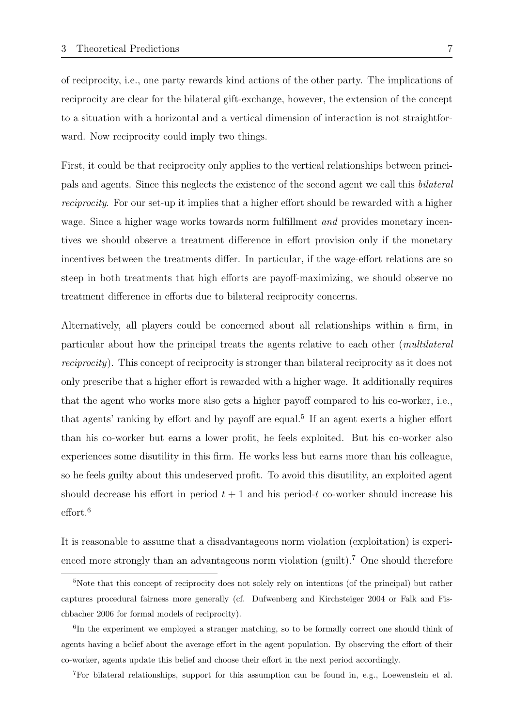of reciprocity, i.e., one party rewards kind actions of the other party. The implications of reciprocity are clear for the bilateral gift-exchange, however, the extension of the concept to a situation with a horizontal and a vertical dimension of interaction is not straightforward. Now reciprocity could imply two things.

First, it could be that reciprocity only applies to the vertical relationships between principals and agents. Since this neglects the existence of the second agent we call this bilateral reciprocity. For our set-up it implies that a higher effort should be rewarded with a higher wage. Since a higher wage works towards norm fulfillment *and* provides monetary incentives we should observe a treatment difference in effort provision only if the monetary incentives between the treatments differ. In particular, if the wage-effort relations are so steep in both treatments that high efforts are payoff-maximizing, we should observe no treatment difference in efforts due to bilateral reciprocity concerns.

Alternatively, all players could be concerned about all relationships within a firm, in particular about how the principal treats the agents relative to each other (multilateral reciprocity). This concept of reciprocity is stronger than bilateral reciprocity as it does not only prescribe that a higher effort is rewarded with a higher wage. It additionally requires that the agent who works more also gets a higher payoff compared to his co-worker, i.e., that agents' ranking by effort and by payoff are equal.<sup>5</sup> If an agent exerts a higher effort than his co-worker but earns a lower profit, he feels exploited. But his co-worker also experiences some disutility in this firm. He works less but earns more than his colleague, so he feels guilty about this undeserved profit. To avoid this disutility, an exploited agent should decrease his effort in period  $t + 1$  and his period-t co-worker should increase his effort.<sup>6</sup>

It is reasonable to assume that a disadvantageous norm violation (exploitation) is experienced more strongly than an advantageous norm violation (guilt).<sup>7</sup> One should therefore

<sup>7</sup>For bilateral relationships, support for this assumption can be found in, e.g., Loewenstein et al.

<sup>5</sup>Note that this concept of reciprocity does not solely rely on intentions (of the principal) but rather captures procedural fairness more generally (cf. Dufwenberg and Kirchsteiger 2004 or Falk and Fischbacher 2006 for formal models of reciprocity).

<sup>&</sup>lt;sup>6</sup>In the experiment we employed a stranger matching, so to be formally correct one should think of agents having a belief about the average effort in the agent population. By observing the effort of their co-worker, agents update this belief and choose their effort in the next period accordingly.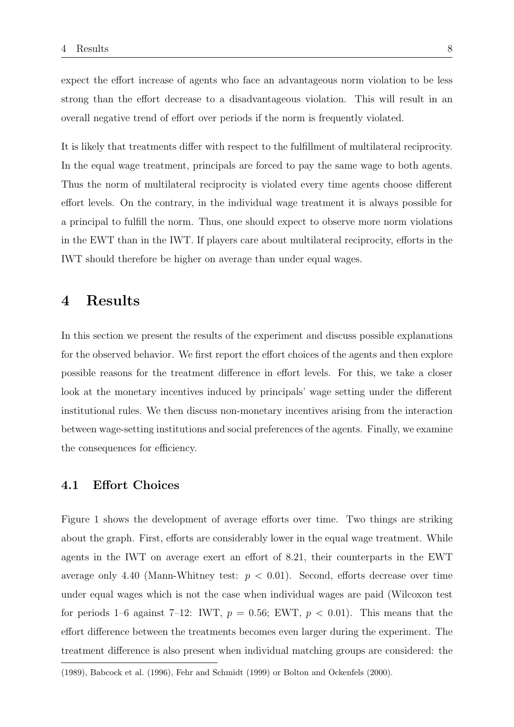expect the effort increase of agents who face an advantageous norm violation to be less strong than the effort decrease to a disadvantageous violation. This will result in an overall negative trend of effort over periods if the norm is frequently violated.

It is likely that treatments differ with respect to the fulfillment of multilateral reciprocity. In the equal wage treatment, principals are forced to pay the same wage to both agents. Thus the norm of multilateral reciprocity is violated every time agents choose different effort levels. On the contrary, in the individual wage treatment it is always possible for a principal to fulfill the norm. Thus, one should expect to observe more norm violations in the EWT than in the IWT. If players care about multilateral reciprocity, efforts in the IWT should therefore be higher on average than under equal wages.

# 4 Results

In this section we present the results of the experiment and discuss possible explanations for the observed behavior. We first report the effort choices of the agents and then explore possible reasons for the treatment difference in effort levels. For this, we take a closer look at the monetary incentives induced by principals' wage setting under the different institutional rules. We then discuss non-monetary incentives arising from the interaction between wage-setting institutions and social preferences of the agents. Finally, we examine the consequences for efficiency.

#### 4.1 Effort Choices

Figure 1 shows the development of average efforts over time. Two things are striking about the graph. First, efforts are considerably lower in the equal wage treatment. While agents in the IWT on average exert an effort of 8.21, their counterparts in the EWT average only 4.40 (Mann-Whitney test:  $p < 0.01$ ). Second, efforts decrease over time under equal wages which is not the case when individual wages are paid (Wilcoxon test for periods 1–6 against 7–12: IWT,  $p = 0.56$ ; EWT,  $p < 0.01$ ). This means that the effort difference between the treatments becomes even larger during the experiment. The treatment difference is also present when individual matching groups are considered: the

<sup>(1989),</sup> Babcock et al. (1996), Fehr and Schmidt (1999) or Bolton and Ockenfels (2000).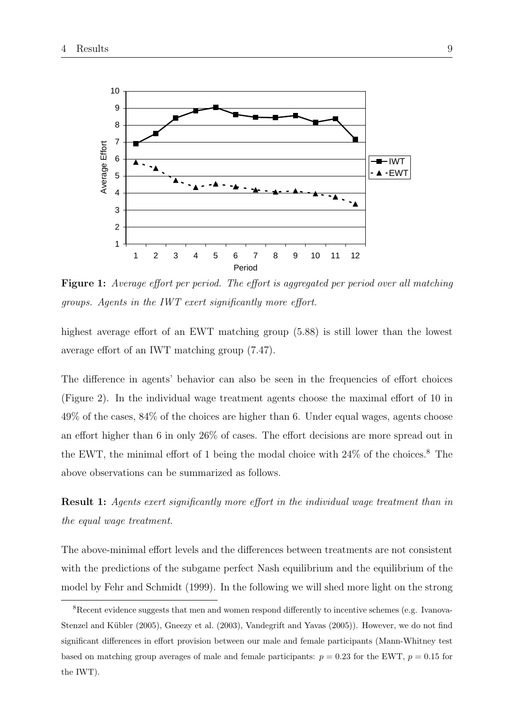

Figure 1: Average effort per period. The effort is aggregated per period over all matching groups. Agents in the IWT exert significantly more effort.

highest average effort of an EWT matching group (5.88) is still lower than the lowest average effort of an IWT matching group (7.47).

The difference in agents' behavior can also be seen in the frequencies of effort choices (Figure 2). In the individual wage treatment agents choose the maximal effort of 10 in 49% of the cases, 84% of the choices are higher than 6. Under equal wages, agents choose an effort higher than 6 in only 26% of cases. The effort decisions are more spread out in the EWT, the minimal effort of 1 being the modal choice with  $24\%$  of the choices.<sup>8</sup> The above observations can be summarized as follows.

Result 1: Agents exert significantly more effort in the individual wage treatment than in the equal wage treatment.

The above-minimal effort levels and the differences between treatments are not consistent with the predictions of the subgame perfect Nash equilibrium and the equilibrium of the model by Fehr and Schmidt (1999). In the following we will shed more light on the strong

<sup>8</sup>Recent evidence suggests that men and women respond differently to incentive schemes (e.g. Ivanova-Stenzel and Kübler (2005), Gneezy et al. (2003), Vandegrift and Yavas (2005)). However, we do not find significant differences in effort provision between our male and female participants (Mann-Whitney test based on matching group averages of male and female participants:  $p = 0.23$  for the EWT,  $p = 0.15$  for the IWT).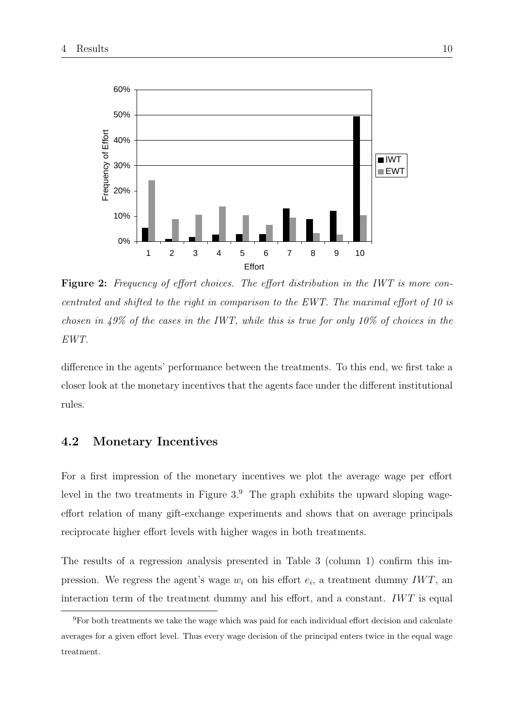

Figure 2: Frequency of effort choices. The effort distribution in the IWT is more concentrated and shifted to the right in comparison to the EWT. The maximal effort of 10 is chosen in 49% of the cases in the IWT, while this is true for only 10% of choices in the EWT.

difference in the agents' performance between the treatments. To this end, we first take a closer look at the monetary incentives that the agents face under the different institutional rules.

### 4.2 Monetary Incentives

For a first impression of the monetary incentives we plot the average wage per effort level in the two treatments in Figure  $3.9$ . The graph exhibits the upward sloping wageeffort relation of many gift-exchange experiments and shows that on average principals reciprocate higher effort levels with higher wages in both treatments.

The results of a regression analysis presented in Table 3 (column 1) confirm this impression. We regress the agent's wage  $w_i$  on his effort  $e_i$ , a treatment dummy IWT, an interaction term of the treatment dummy and his effort, and a constant.  $IWT$  is equal

<sup>9</sup>For both treatments we take the wage which was paid for each individual effort decision and calculate averages for a given effort level. Thus every wage decision of the principal enters twice in the equal wage treatment.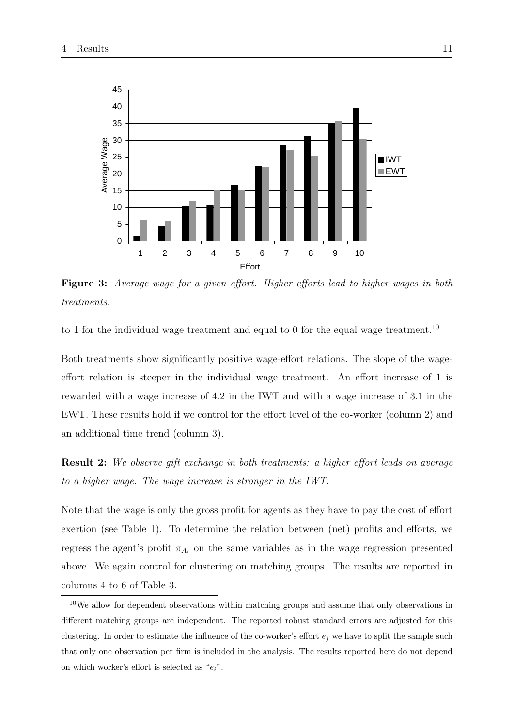

Figure 3: Average wage for a given effort. Higher efforts lead to higher wages in both treatments.

to 1 for the individual wage treatment and equal to 0 for the equal wage treatment.<sup>10</sup>

Both treatments show significantly positive wage-effort relations. The slope of the wageeffort relation is steeper in the individual wage treatment. An effort increase of 1 is rewarded with a wage increase of 4.2 in the IWT and with a wage increase of 3.1 in the EWT. These results hold if we control for the effort level of the co-worker (column 2) and an additional time trend (column 3).

Result 2: We observe gift exchange in both treatments: a higher effort leads on average to a higher wage. The wage increase is stronger in the IWT.

Note that the wage is only the gross profit for agents as they have to pay the cost of effort exertion (see Table 1). To determine the relation between (net) profits and efforts, we regress the agent's profit  $\pi_{A_i}$  on the same variables as in the wage regression presented above. We again control for clustering on matching groups. The results are reported in columns 4 to 6 of Table 3.

<sup>&</sup>lt;sup>10</sup>We allow for dependent observations within matching groups and assume that only observations in different matching groups are independent. The reported robust standard errors are adjusted for this clustering. In order to estimate the influence of the co-worker's effort  $e_i$  we have to split the sample such that only one observation per firm is included in the analysis. The results reported here do not depend on which worker's effort is selected as " $e_i$ ".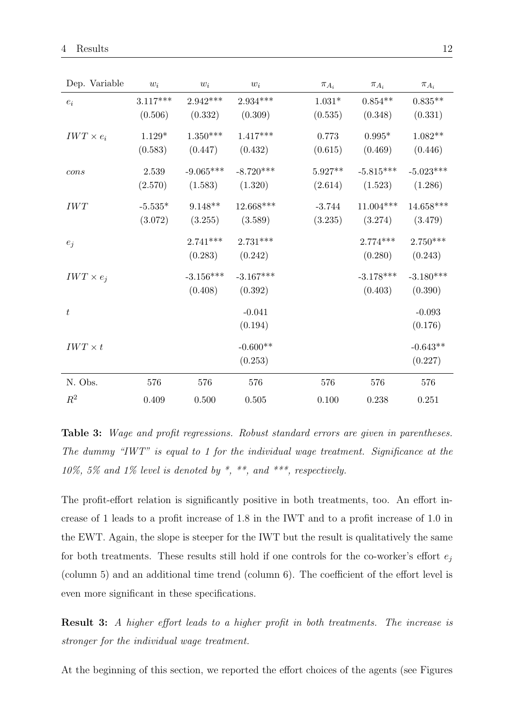| Dep. Variable    | $w_i$      | $w_i$       | $w_i$       | $\pi_{A_i}$    | $\pi_{A_i}$ | $\pi_{A_i}$ |
|------------------|------------|-------------|-------------|----------------|-------------|-------------|
| $e_i$            | $3.117***$ | $2.942***$  | $2.934***$  | $1.031^{\ast}$ | $0.854**$   | $0.835**$   |
|                  | (0.506)    | (0.332)     | (0.309)     | (0.535)        | (0.348)     | (0.331)     |
| $IWT \times e_i$ | $1.129*$   | $1.350***$  | $1.417***$  | 0.773          | $0.995*$    | $1.082**$   |
|                  | (0.583)    | (0.447)     | (0.432)     | (0.615)        | (0.469)     | (0.446)     |
| cons             | 2.539      | $-9.065***$ | $-8.720***$ | $5.927**$      | $-5.815***$ | $-5.023***$ |
|                  | (2.570)    | (1.583)     | (1.320)     | (2.614)        | (1.523)     | (1.286)     |
| IWT              | $-5.535*$  | $9.148**$   | $12.668***$ | $-3.744$       | $11.004***$ | $14.658***$ |
|                  | (3.072)    | (3.255)     | (3.589)     | (3.235)        | (3.274)     | (3.479)     |
| $e_j$            |            | $2.741***$  | $2.731***$  |                | $2.774***$  | $2.750***$  |
|                  |            | (0.283)     | (0.242)     |                | (0.280)     | (0.243)     |
| $IWT \times e_j$ |            | $-3.156***$ | $-3.167***$ |                | $-3.178***$ | $-3.180***$ |
|                  |            | (0.408)     | (0.392)     |                | (0.403)     | (0.390)     |
| $\boldsymbol{t}$ |            |             | $-0.041$    |                |             | $-0.093$    |
|                  |            |             | (0.194)     |                |             | (0.176)     |
| $IWT \times t$   |            |             | $-0.600**$  |                |             | $-0.643**$  |
|                  |            |             | (0.253)     |                |             | (0.227)     |
| N. Obs.          | 576        | 576         | 576         | 576            | 576         | 576         |
| $R^2$            | 0.409      | 0.500       | 0.505       | 0.100          | 0.238       | 0.251       |

Table 3: Wage and profit regressions. Robust standard errors are given in parentheses. The dummy "IWT" is equal to 1 for the individual wage treatment. Significance at the 10%, 5% and 1% level is denoted by  $*, **$ , and  $***$ , respectively.

The profit-effort relation is significantly positive in both treatments, too. An effort increase of 1 leads to a profit increase of 1.8 in the IWT and to a profit increase of 1.0 in the EWT. Again, the slope is steeper for the IWT but the result is qualitatively the same for both treatments. These results still hold if one controls for the co-worker's effort  $e_i$ (column 5) and an additional time trend (column 6). The coefficient of the effort level is even more significant in these specifications.

**Result 3:** A higher effort leads to a higher profit in both treatments. The increase is stronger for the individual wage treatment.

At the beginning of this section, we reported the effort choices of the agents (see Figures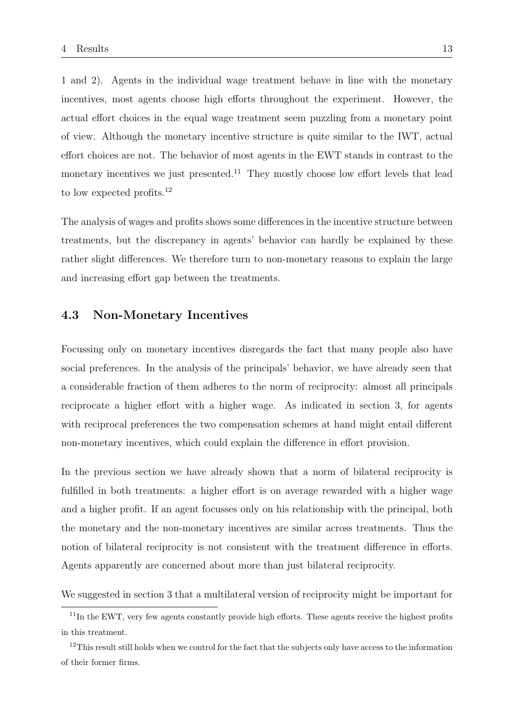1 and 2). Agents in the individual wage treatment behave in line with the monetary incentives, most agents choose high efforts throughout the experiment. However, the actual effort choices in the equal wage treatment seem puzzling from a monetary point of view. Although the monetary incentive structure is quite similar to the IWT, actual effort choices are not. The behavior of most agents in the EWT stands in contrast to the monetary incentives we just presented.<sup>11</sup> They mostly choose low effort levels that lead to low expected profits.<sup>12</sup>

The analysis of wages and profits shows some differences in the incentive structure between treatments, but the discrepancy in agents' behavior can hardly be explained by these rather slight differences. We therefore turn to non-monetary reasons to explain the large and increasing effort gap between the treatments.

#### 4.3 Non-Monetary Incentives

Focussing only on monetary incentives disregards the fact that many people also have social preferences. In the analysis of the principals' behavior, we have already seen that a considerable fraction of them adheres to the norm of reciprocity: almost all principals reciprocate a higher effort with a higher wage. As indicated in section 3, for agents with reciprocal preferences the two compensation schemes at hand might entail different non-monetary incentives, which could explain the difference in effort provision.

In the previous section we have already shown that a norm of bilateral reciprocity is fulfilled in both treatments: a higher effort is on average rewarded with a higher wage and a higher profit. If an agent focusses only on his relationship with the principal, both the monetary and the non-monetary incentives are similar across treatments. Thus the notion of bilateral reciprocity is not consistent with the treatment difference in efforts. Agents apparently are concerned about more than just bilateral reciprocity.

We suggested in section 3 that a multilateral version of reciprocity might be important for

<sup>&</sup>lt;sup>11</sup>In the EWT, very few agents constantly provide high efforts. These agents receive the highest profits in this treatment.

 $12$ This result still holds when we control for the fact that the subjects only have access to the information of their former firms.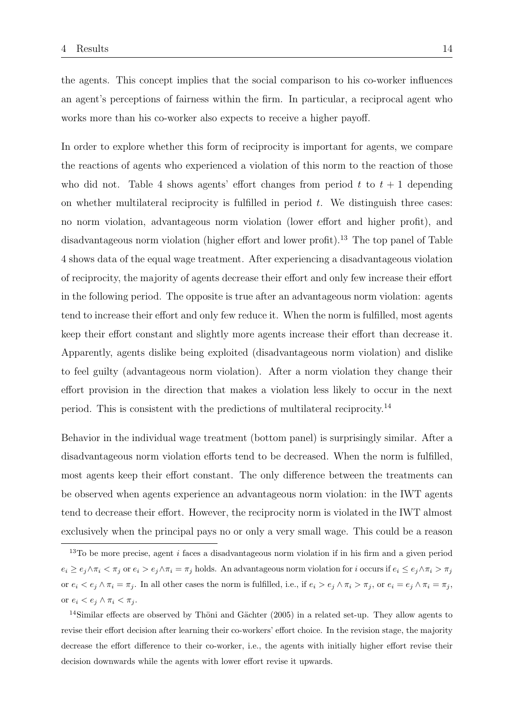the agents. This concept implies that the social comparison to his co-worker influences an agent's perceptions of fairness within the firm. In particular, a reciprocal agent who works more than his co-worker also expects to receive a higher payoff.

In order to explore whether this form of reciprocity is important for agents, we compare the reactions of agents who experienced a violation of this norm to the reaction of those who did not. Table 4 shows agents' effort changes from period t to  $t + 1$  depending on whether multilateral reciprocity is fulfilled in period  $t$ . We distinguish three cases: no norm violation, advantageous norm violation (lower effort and higher profit), and disadvantageous norm violation (higher effort and lower profit).<sup>13</sup> The top panel of Table 4 shows data of the equal wage treatment. After experiencing a disadvantageous violation of reciprocity, the majority of agents decrease their effort and only few increase their effort in the following period. The opposite is true after an advantageous norm violation: agents tend to increase their effort and only few reduce it. When the norm is fulfilled, most agents keep their effort constant and slightly more agents increase their effort than decrease it. Apparently, agents dislike being exploited (disadvantageous norm violation) and dislike to feel guilty (advantageous norm violation). After a norm violation they change their effort provision in the direction that makes a violation less likely to occur in the next period. This is consistent with the predictions of multilateral reciprocity.<sup>14</sup>

Behavior in the individual wage treatment (bottom panel) is surprisingly similar. After a disadvantageous norm violation efforts tend to be decreased. When the norm is fulfilled, most agents keep their effort constant. The only difference between the treatments can be observed when agents experience an advantageous norm violation: in the IWT agents tend to decrease their effort. However, the reciprocity norm is violated in the IWT almost exclusively when the principal pays no or only a very small wage. This could be a reason

<sup>&</sup>lt;sup>13</sup>To be more precise, agent i faces a disadvantageous norm violation if in his firm and a given period  $e_i \ge e_j \wedge \pi_i < \pi_j$  or  $e_i > e_j \wedge \pi_i = \pi_j$  holds. An advantageous norm violation for i occurs if  $e_i \le e_j \wedge \pi_i > \pi_j$ or  $e_i < e_j \wedge \pi_i = \pi_j$ . In all other cases the norm is fulfilled, i.e., if  $e_i > e_j \wedge \pi_i > \pi_j$ , or  $e_i = e_j \wedge \pi_i = \pi_j$ , or  $e_i < e_j \wedge \pi_i < \pi_i$ .

<sup>&</sup>lt;sup>14</sup>Similar effects are observed by Thöni and Gächter  $(2005)$  in a related set-up. They allow agents to revise their effort decision after learning their co-workers' effort choice. In the revision stage, the majority decrease the effort difference to their co-worker, i.e., the agents with initially higher effort revise their decision downwards while the agents with lower effort revise it upwards.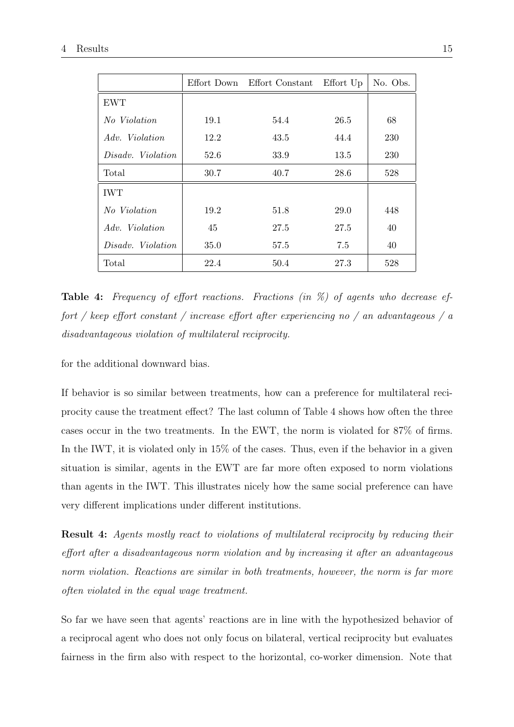|                   |      | Effort Down Effort Constant | Effort Up | No. Obs. |
|-------------------|------|-----------------------------|-----------|----------|
| <b>EWT</b>        |      |                             |           |          |
| No Violation      | 19.1 | 54.4                        | 26.5      | 68       |
| Adv. Violation    | 12.2 | 43.5                        | 44.4      | 230      |
| Disadv. Violation | 52.6 | 33.9                        | 13.5      | 230      |
| Total             | 30.7 | 40.7                        | 28.6      | 528      |
| <b>IWT</b>        |      |                             |           |          |
| No Violation      | 19.2 | 51.8                        | 29.0      | 448      |
| Adv. Violation    | 45   | 27.5                        | 27.5      | 40       |
| Disadv. Violation | 35.0 | 57.5                        | 7.5       | 40       |
| Total             | 22.4 | 50.4                        | 27.3      | 528      |

Table 4: Frequency of effort reactions. Fractions (in %) of agents who decrease effort / keep effort constant / increase effort after experiencing no / an advantageous / a disadvantageous violation of multilateral reciprocity.

for the additional downward bias.

If behavior is so similar between treatments, how can a preference for multilateral reciprocity cause the treatment effect? The last column of Table 4 shows how often the three cases occur in the two treatments. In the EWT, the norm is violated for 87% of firms. In the IWT, it is violated only in 15% of the cases. Thus, even if the behavior in a given situation is similar, agents in the EWT are far more often exposed to norm violations than agents in the IWT. This illustrates nicely how the same social preference can have very different implications under different institutions.

Result 4: Agents mostly react to violations of multilateral reciprocity by reducing their effort after a disadvantageous norm violation and by increasing it after an advantageous norm violation. Reactions are similar in both treatments, however, the norm is far more often violated in the equal wage treatment.

So far we have seen that agents' reactions are in line with the hypothesized behavior of a reciprocal agent who does not only focus on bilateral, vertical reciprocity but evaluates fairness in the firm also with respect to the horizontal, co-worker dimension. Note that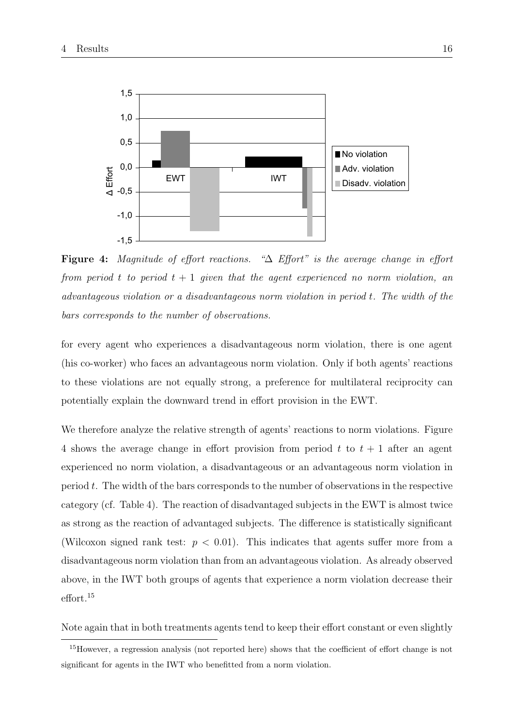

Figure 4: Magnitude of effort reactions. "∆ Effort" is the average change in effort from period t to period  $t + 1$  given that the agent experienced no norm violation, an advantageous violation or a disadvantageous norm violation in period t. The width of the bars corresponds to the number of observations.

for every agent who experiences a disadvantageous norm violation, there is one agent (his co-worker) who faces an advantageous norm violation. Only if both agents' reactions to these violations are not equally strong, a preference for multilateral reciprocity can potentially explain the downward trend in effort provision in the EWT.

We therefore analyze the relative strength of agents' reactions to norm violations. Figure 4 shows the average change in effort provision from period t to  $t + 1$  after an agent experienced no norm violation, a disadvantageous or an advantageous norm violation in period  $t$ . The width of the bars corresponds to the number of observations in the respective category (cf. Table 4). The reaction of disadvantaged subjects in the EWT is almost twice as strong as the reaction of advantaged subjects. The difference is statistically significant (Wilcoxon signed rank test:  $p < 0.01$ ). This indicates that agents suffer more from a disadvantageous norm violation than from an advantageous violation. As already observed above, in the IWT both groups of agents that experience a norm violation decrease their effort.<sup>15</sup>

Note again that in both treatments agents tend to keep their effort constant or even slightly

<sup>&</sup>lt;sup>15</sup>However, a regression analysis (not reported here) shows that the coefficient of effort change is not significant for agents in the IWT who benefitted from a norm violation.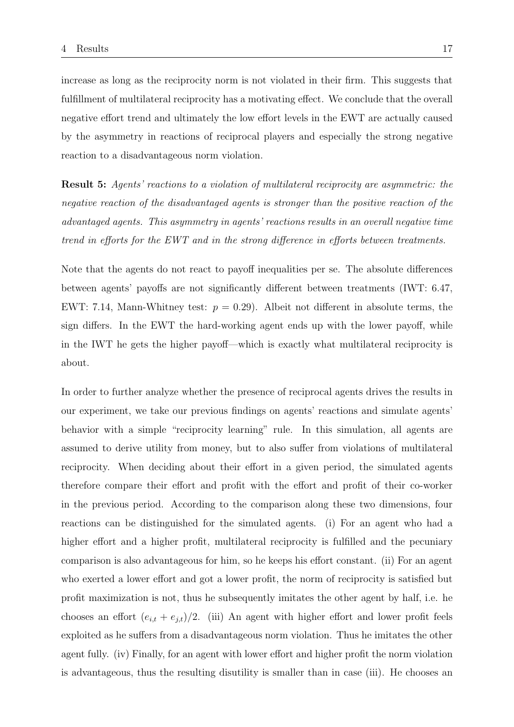increase as long as the reciprocity norm is not violated in their firm. This suggests that fulfillment of multilateral reciprocity has a motivating effect. We conclude that the overall negative effort trend and ultimately the low effort levels in the EWT are actually caused by the asymmetry in reactions of reciprocal players and especially the strong negative reaction to a disadvantageous norm violation.

Result 5: Agents' reactions to a violation of multilateral reciprocity are asymmetric: the negative reaction of the disadvantaged agents is stronger than the positive reaction of the advantaged agents. This asymmetry in agents' reactions results in an overall negative time trend in efforts for the EWT and in the strong difference in efforts between treatments.

Note that the agents do not react to payoff inequalities per se. The absolute differences between agents' payoffs are not significantly different between treatments (IWT: 6.47, EWT: 7.14, Mann-Whitney test:  $p = 0.29$ ). Albeit not different in absolute terms, the sign differs. In the EWT the hard-working agent ends up with the lower payoff, while in the IWT he gets the higher payoff—which is exactly what multilateral reciprocity is about.

In order to further analyze whether the presence of reciprocal agents drives the results in our experiment, we take our previous findings on agents' reactions and simulate agents' behavior with a simple "reciprocity learning" rule. In this simulation, all agents are assumed to derive utility from money, but to also suffer from violations of multilateral reciprocity. When deciding about their effort in a given period, the simulated agents therefore compare their effort and profit with the effort and profit of their co-worker in the previous period. According to the comparison along these two dimensions, four reactions can be distinguished for the simulated agents. (i) For an agent who had a higher effort and a higher profit, multilateral reciprocity is fulfilled and the pecuniary comparison is also advantageous for him, so he keeps his effort constant. (ii) For an agent who exerted a lower effort and got a lower profit, the norm of reciprocity is satisfied but profit maximization is not, thus he subsequently imitates the other agent by half, i.e. he chooses an effort  $(e_{i,t} + e_{j,t})/2$ . (iii) An agent with higher effort and lower profit feels exploited as he suffers from a disadvantageous norm violation. Thus he imitates the other agent fully. (iv) Finally, for an agent with lower effort and higher profit the norm violation is advantageous, thus the resulting disutility is smaller than in case (iii). He chooses an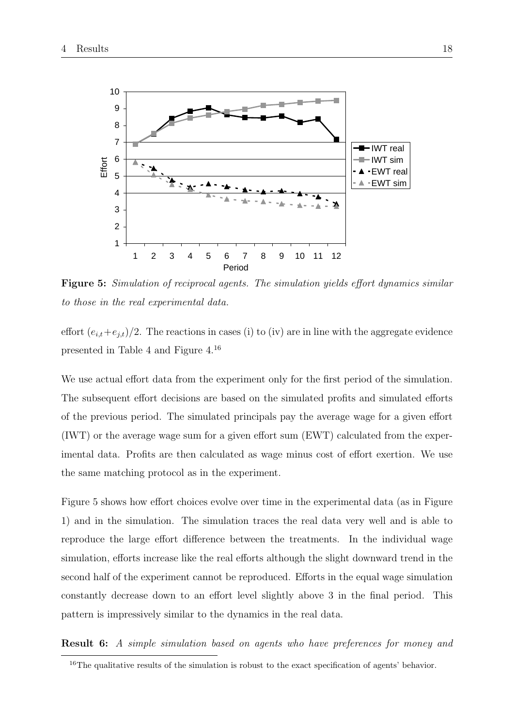

Figure 5: Simulation of reciprocal agents. The simulation yields effort dynamics similar to those in the real experimental data.

effort  $(e_{i,t}+e_{j,t})/2$ . The reactions in cases (i) to (iv) are in line with the aggregate evidence presented in Table 4 and Figure 4.<sup>16</sup>

We use actual effort data from the experiment only for the first period of the simulation. The subsequent effort decisions are based on the simulated profits and simulated efforts of the previous period. The simulated principals pay the average wage for a given effort (IWT) or the average wage sum for a given effort sum (EWT) calculated from the experimental data. Profits are then calculated as wage minus cost of effort exertion. We use the same matching protocol as in the experiment.

Figure 5 shows how effort choices evolve over time in the experimental data (as in Figure 1) and in the simulation. The simulation traces the real data very well and is able to reproduce the large effort difference between the treatments. In the individual wage simulation, efforts increase like the real efforts although the slight downward trend in the second half of the experiment cannot be reproduced. Efforts in the equal wage simulation constantly decrease down to an effort level slightly above 3 in the final period. This pattern is impressively similar to the dynamics in the real data.

Result 6: A simple simulation based on agents who have preferences for money and

<sup>&</sup>lt;sup>16</sup>The qualitative results of the simulation is robust to the exact specification of agents' behavior.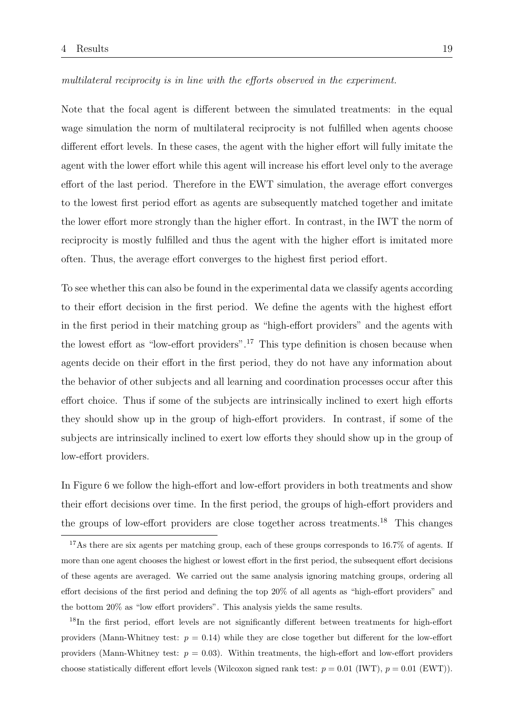Note that the focal agent is different between the simulated treatments: in the equal wage simulation the norm of multilateral reciprocity is not fulfilled when agents choose different effort levels. In these cases, the agent with the higher effort will fully imitate the agent with the lower effort while this agent will increase his effort level only to the average effort of the last period. Therefore in the EWT simulation, the average effort converges to the lowest first period effort as agents are subsequently matched together and imitate the lower effort more strongly than the higher effort. In contrast, in the IWT the norm of reciprocity is mostly fulfilled and thus the agent with the higher effort is imitated more often. Thus, the average effort converges to the highest first period effort.

To see whether this can also be found in the experimental data we classify agents according to their effort decision in the first period. We define the agents with the highest effort in the first period in their matching group as "high-effort providers" and the agents with the lowest effort as "low-effort providers".<sup>17</sup> This type definition is chosen because when agents decide on their effort in the first period, they do not have any information about the behavior of other subjects and all learning and coordination processes occur after this effort choice. Thus if some of the subjects are intrinsically inclined to exert high efforts they should show up in the group of high-effort providers. In contrast, if some of the subjects are intrinsically inclined to exert low efforts they should show up in the group of low-effort providers.

In Figure 6 we follow the high-effort and low-effort providers in both treatments and show their effort decisions over time. In the first period, the groups of high-effort providers and the groups of low-effort providers are close together across treatments.<sup>18</sup> This changes

<sup>18</sup>In the first period, effort levels are not significantly different between treatments for high-effort providers (Mann-Whitney test:  $p = 0.14$ ) while they are close together but different for the low-effort providers (Mann-Whitney test:  $p = 0.03$ ). Within treatments, the high-effort and low-effort providers choose statistically different effort levels (Wilcoxon signed rank test:  $p = 0.01$  (IWT),  $p = 0.01$  (EWT)).

<sup>&</sup>lt;sup>17</sup>As there are six agents per matching group, each of these groups corresponds to 16.7% of agents. If more than one agent chooses the highest or lowest effort in the first period, the subsequent effort decisions of these agents are averaged. We carried out the same analysis ignoring matching groups, ordering all effort decisions of the first period and defining the top 20% of all agents as "high-effort providers" and the bottom 20% as "low effort providers". This analysis yields the same results.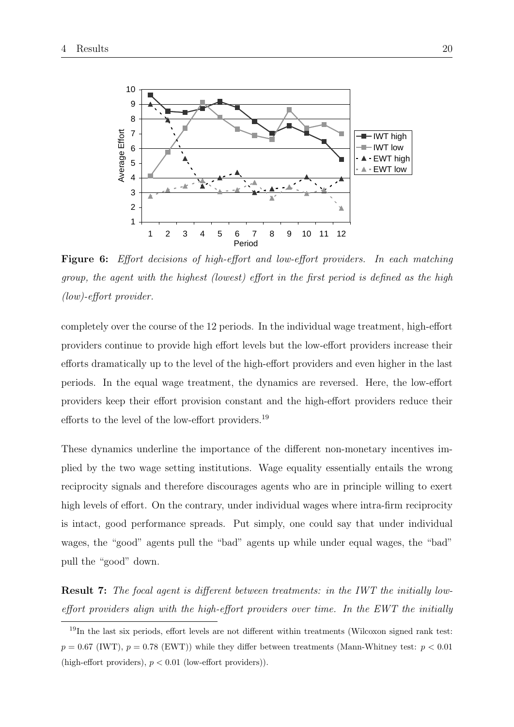

Figure 6: Effort decisions of high-effort and low-effort providers. In each matching group, the agent with the highest (lowest) effort in the first period is defined as the high (low)-effort provider.

completely over the course of the 12 periods. In the individual wage treatment, high-effort providers continue to provide high effort levels but the low-effort providers increase their efforts dramatically up to the level of the high-effort providers and even higher in the last periods. In the equal wage treatment, the dynamics are reversed. Here, the low-effort providers keep their effort provision constant and the high-effort providers reduce their efforts to the level of the low-effort providers.<sup>19</sup>

These dynamics underline the importance of the different non-monetary incentives implied by the two wage setting institutions. Wage equality essentially entails the wrong reciprocity signals and therefore discourages agents who are in principle willing to exert high levels of effort. On the contrary, under individual wages where intra-firm reciprocity is intact, good performance spreads. Put simply, one could say that under individual wages, the "good" agents pull the "bad" agents up while under equal wages, the "bad" pull the "good" down.

Result 7: The focal agent is different between treatments: in the IWT the initially loweffort providers align with the high-effort providers over time. In the EWT the initially

<sup>19</sup>In the last six periods, effort levels are not different within treatments (Wilcoxon signed rank test:  $p = 0.67$  (IWT),  $p = 0.78$  (EWT)) while they differ between treatments (Mann-Whitney test:  $p < 0.01$ (high-effort providers),  $p < 0.01$  (low-effort providers)).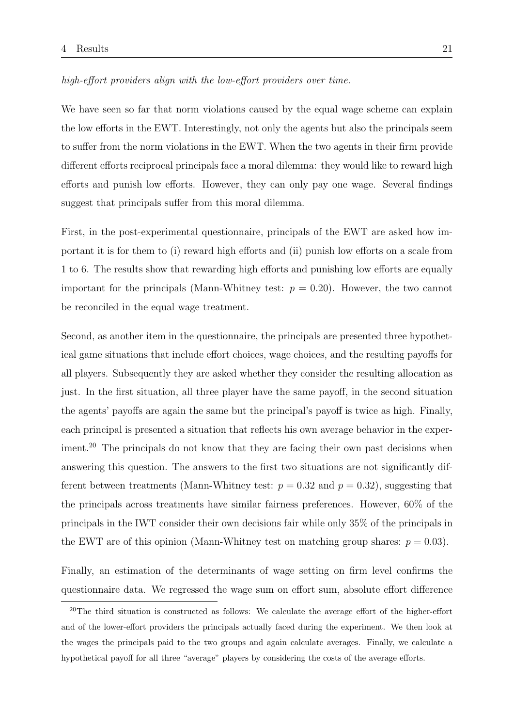high-effort providers align with the low-effort providers over time.

We have seen so far that norm violations caused by the equal wage scheme can explain the low efforts in the EWT. Interestingly, not only the agents but also the principals seem to suffer from the norm violations in the EWT. When the two agents in their firm provide different efforts reciprocal principals face a moral dilemma: they would like to reward high efforts and punish low efforts. However, they can only pay one wage. Several findings suggest that principals suffer from this moral dilemma.

First, in the post-experimental questionnaire, principals of the EWT are asked how important it is for them to (i) reward high efforts and (ii) punish low efforts on a scale from 1 to 6. The results show that rewarding high efforts and punishing low efforts are equally important for the principals (Mann-Whitney test:  $p = 0.20$ ). However, the two cannot be reconciled in the equal wage treatment.

Second, as another item in the questionnaire, the principals are presented three hypothetical game situations that include effort choices, wage choices, and the resulting payoffs for all players. Subsequently they are asked whether they consider the resulting allocation as just. In the first situation, all three player have the same payoff, in the second situation the agents' payoffs are again the same but the principal's payoff is twice as high. Finally, each principal is presented a situation that reflects his own average behavior in the experiment.<sup>20</sup> The principals do not know that they are facing their own past decisions when answering this question. The answers to the first two situations are not significantly different between treatments (Mann-Whitney test:  $p = 0.32$  and  $p = 0.32$ ), suggesting that the principals across treatments have similar fairness preferences. However, 60% of the principals in the IWT consider their own decisions fair while only 35% of the principals in the EWT are of this opinion (Mann-Whitney test on matching group shares:  $p = 0.03$ ).

Finally, an estimation of the determinants of wage setting on firm level confirms the questionnaire data. We regressed the wage sum on effort sum, absolute effort difference

 $20$ The third situation is constructed as follows: We calculate the average effort of the higher-effort and of the lower-effort providers the principals actually faced during the experiment. We then look at the wages the principals paid to the two groups and again calculate averages. Finally, we calculate a hypothetical payoff for all three "average" players by considering the costs of the average efforts.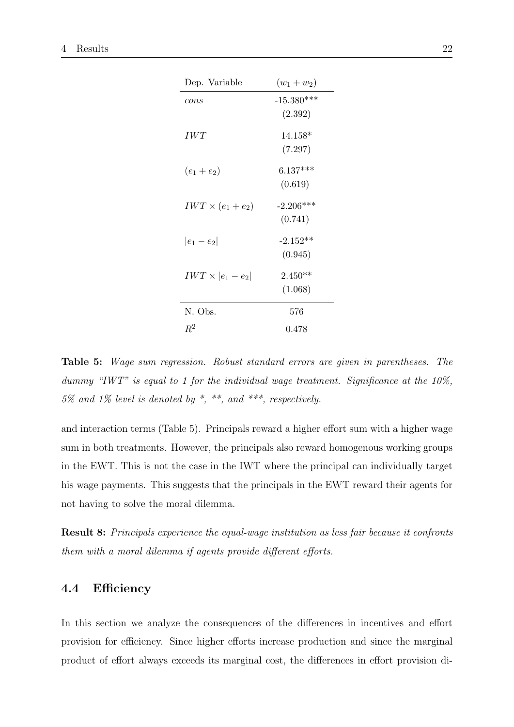| Dep. Variable            | $(w_1 + w_2)$ |
|--------------------------|---------------|
| cons                     | $-15.380***$  |
|                          | (2.392)       |
| IWT                      | $14.158*$     |
|                          | (7.297)       |
| $(e_1+e_2)$              | $6.137***$    |
|                          | (0.619)       |
| $IWT \times (e_1 + e_2)$ | $-2.206***$   |
|                          | (0.741)       |
| $ e_1 - e_2 $            | $-2.152**$    |
|                          | (0.945)       |
| $IWT \times  e_1 - e_2 $ | $2.450**$     |
|                          | (1.068)       |
| N. Obs.                  | 576           |
| $\,R^2$                  | 0.478         |

Table 5: Wage sum regression. Robust standard errors are given in parentheses. The dummy "IWT" is equal to 1 for the individual wage treatment. Significance at the 10%,  $5\%$  and  $1\%$  level is denoted by  $*$ ,  $**$ , and  $***$ , respectively.

and interaction terms (Table 5). Principals reward a higher effort sum with a higher wage sum in both treatments. However, the principals also reward homogenous working groups in the EWT. This is not the case in the IWT where the principal can individually target his wage payments. This suggests that the principals in the EWT reward their agents for not having to solve the moral dilemma.

Result 8: Principals experience the equal-wage institution as less fair because it confronts them with a moral dilemma if agents provide different efforts.

### 4.4 Efficiency

In this section we analyze the consequences of the differences in incentives and effort provision for efficiency. Since higher efforts increase production and since the marginal product of effort always exceeds its marginal cost, the differences in effort provision di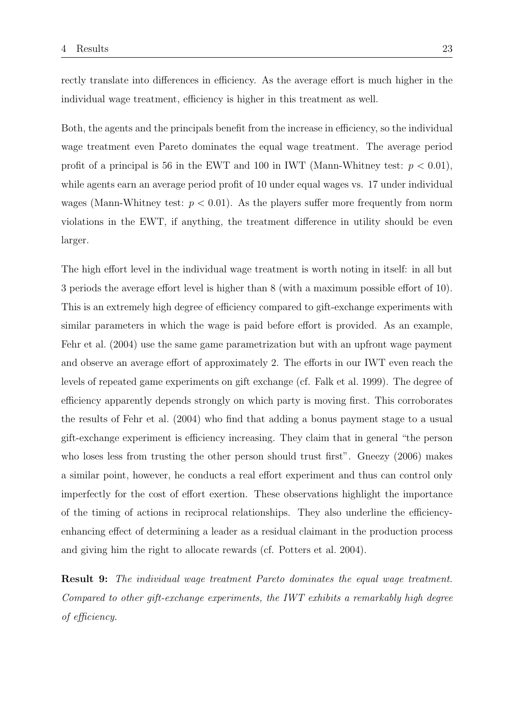rectly translate into differences in efficiency. As the average effort is much higher in the individual wage treatment, efficiency is higher in this treatment as well.

Both, the agents and the principals benefit from the increase in efficiency, so the individual wage treatment even Pareto dominates the equal wage treatment. The average period profit of a principal is 56 in the EWT and 100 in IWT (Mann-Whitney test:  $p < 0.01$ ), while agents earn an average period profit of 10 under equal wages vs. 17 under individual wages (Mann-Whitney test:  $p < 0.01$ ). As the players suffer more frequently from norm violations in the EWT, if anything, the treatment difference in utility should be even larger.

The high effort level in the individual wage treatment is worth noting in itself: in all but 3 periods the average effort level is higher than 8 (with a maximum possible effort of 10). This is an extremely high degree of efficiency compared to gift-exchange experiments with similar parameters in which the wage is paid before effort is provided. As an example, Fehr et al. (2004) use the same game parametrization but with an upfront wage payment and observe an average effort of approximately 2. The efforts in our IWT even reach the levels of repeated game experiments on gift exchange (cf. Falk et al. 1999). The degree of efficiency apparently depends strongly on which party is moving first. This corroborates the results of Fehr et al. (2004) who find that adding a bonus payment stage to a usual gift-exchange experiment is efficiency increasing. They claim that in general "the person who loses less from trusting the other person should trust first". Gneezy (2006) makes a similar point, however, he conducts a real effort experiment and thus can control only imperfectly for the cost of effort exertion. These observations highlight the importance of the timing of actions in reciprocal relationships. They also underline the efficiencyenhancing effect of determining a leader as a residual claimant in the production process and giving him the right to allocate rewards (cf. Potters et al. 2004).

Result 9: The individual wage treatment Pareto dominates the equal wage treatment. Compared to other gift-exchange experiments, the IWT exhibits a remarkably high degree of efficiency.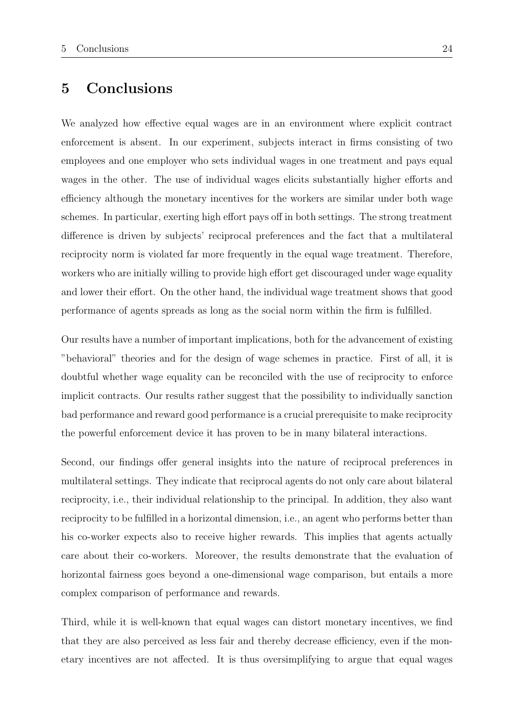# 5 Conclusions

We analyzed how effective equal wages are in an environment where explicit contract enforcement is absent. In our experiment, subjects interact in firms consisting of two employees and one employer who sets individual wages in one treatment and pays equal wages in the other. The use of individual wages elicits substantially higher efforts and efficiency although the monetary incentives for the workers are similar under both wage schemes. In particular, exerting high effort pays off in both settings. The strong treatment difference is driven by subjects' reciprocal preferences and the fact that a multilateral reciprocity norm is violated far more frequently in the equal wage treatment. Therefore, workers who are initially willing to provide high effort get discouraged under wage equality and lower their effort. On the other hand, the individual wage treatment shows that good performance of agents spreads as long as the social norm within the firm is fulfilled.

Our results have a number of important implications, both for the advancement of existing "behavioral" theories and for the design of wage schemes in practice. First of all, it is doubtful whether wage equality can be reconciled with the use of reciprocity to enforce implicit contracts. Our results rather suggest that the possibility to individually sanction bad performance and reward good performance is a crucial prerequisite to make reciprocity the powerful enforcement device it has proven to be in many bilateral interactions.

Second, our findings offer general insights into the nature of reciprocal preferences in multilateral settings. They indicate that reciprocal agents do not only care about bilateral reciprocity, i.e., their individual relationship to the principal. In addition, they also want reciprocity to be fulfilled in a horizontal dimension, i.e., an agent who performs better than his co-worker expects also to receive higher rewards. This implies that agents actually care about their co-workers. Moreover, the results demonstrate that the evaluation of horizontal fairness goes beyond a one-dimensional wage comparison, but entails a more complex comparison of performance and rewards.

Third, while it is well-known that equal wages can distort monetary incentives, we find that they are also perceived as less fair and thereby decrease efficiency, even if the monetary incentives are not affected. It is thus oversimplifying to argue that equal wages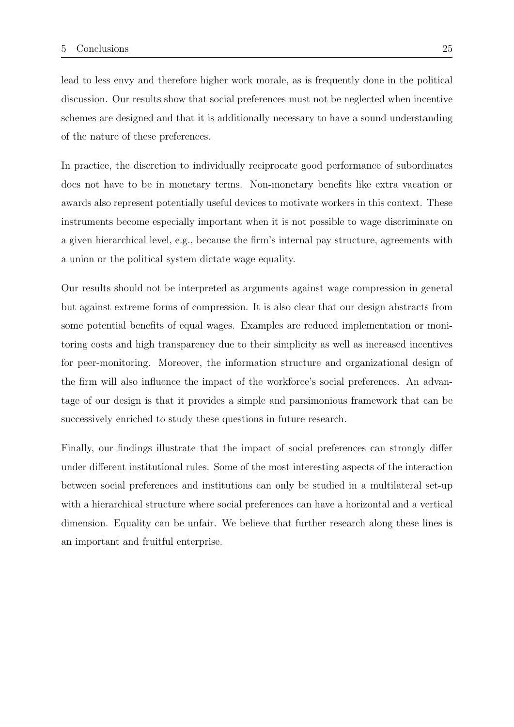lead to less envy and therefore higher work morale, as is frequently done in the political discussion. Our results show that social preferences must not be neglected when incentive schemes are designed and that it is additionally necessary to have a sound understanding of the nature of these preferences.

In practice, the discretion to individually reciprocate good performance of subordinates does not have to be in monetary terms. Non-monetary benefits like extra vacation or awards also represent potentially useful devices to motivate workers in this context. These instruments become especially important when it is not possible to wage discriminate on a given hierarchical level, e.g., because the firm's internal pay structure, agreements with a union or the political system dictate wage equality.

Our results should not be interpreted as arguments against wage compression in general but against extreme forms of compression. It is also clear that our design abstracts from some potential benefits of equal wages. Examples are reduced implementation or monitoring costs and high transparency due to their simplicity as well as increased incentives for peer-monitoring. Moreover, the information structure and organizational design of the firm will also influence the impact of the workforce's social preferences. An advantage of our design is that it provides a simple and parsimonious framework that can be successively enriched to study these questions in future research.

Finally, our findings illustrate that the impact of social preferences can strongly differ under different institutional rules. Some of the most interesting aspects of the interaction between social preferences and institutions can only be studied in a multilateral set-up with a hierarchical structure where social preferences can have a horizontal and a vertical dimension. Equality can be unfair. We believe that further research along these lines is an important and fruitful enterprise.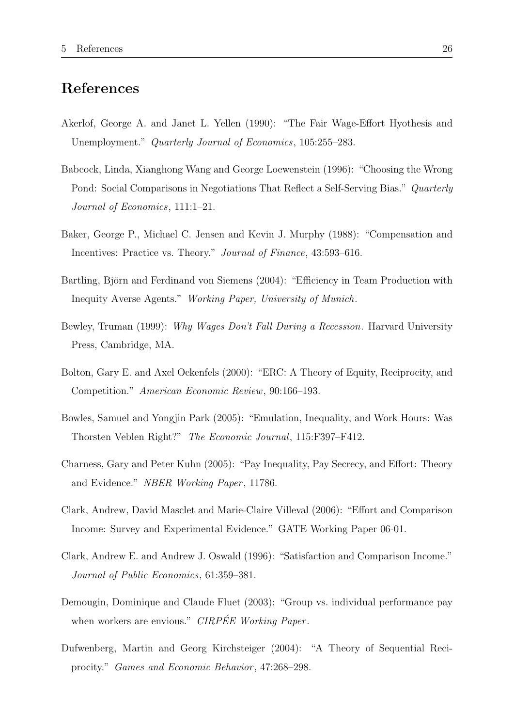# References

- Akerlof, George A. and Janet L. Yellen (1990): "The Fair Wage-Effort Hyothesis and Unemployment." Quarterly Journal of Economics, 105:255–283.
- Babcock, Linda, Xianghong Wang and George Loewenstein (1996): "Choosing the Wrong Pond: Social Comparisons in Negotiations That Reflect a Self-Serving Bias." Quarterly Journal of Economics, 111:1–21.
- Baker, George P., Michael C. Jensen and Kevin J. Murphy (1988): "Compensation and Incentives: Practice vs. Theory." Journal of Finance, 43:593–616.
- Bartling, Björn and Ferdinand von Siemens (2004): "Efficiency in Team Production with Inequity Averse Agents." Working Paper, University of Munich.
- Bewley, Truman (1999): Why Wages Don't Fall During a Recession. Harvard University Press, Cambridge, MA.
- Bolton, Gary E. and Axel Ockenfels (2000): "ERC: A Theory of Equity, Reciprocity, and Competition." American Economic Review, 90:166–193.
- Bowles, Samuel and Yongjin Park (2005): "Emulation, Inequality, and Work Hours: Was Thorsten Veblen Right?" The Economic Journal, 115:F397–F412.
- Charness, Gary and Peter Kuhn (2005): "Pay Inequality, Pay Secrecy, and Effort: Theory and Evidence." NBER Working Paper, 11786.
- Clark, Andrew, David Masclet and Marie-Claire Villeval (2006): "Effort and Comparison Income: Survey and Experimental Evidence." GATE Working Paper 06-01.
- Clark, Andrew E. and Andrew J. Oswald (1996): "Satisfaction and Comparison Income." Journal of Public Economics, 61:359–381.
- Demougin, Dominique and Claude Fluet (2003): "Group vs. individual performance pay when workers are envious." CIRPÉE Working Paper.
- Dufwenberg, Martin and Georg Kirchsteiger (2004): "A Theory of Sequential Reciprocity." Games and Economic Behavior, 47:268-298.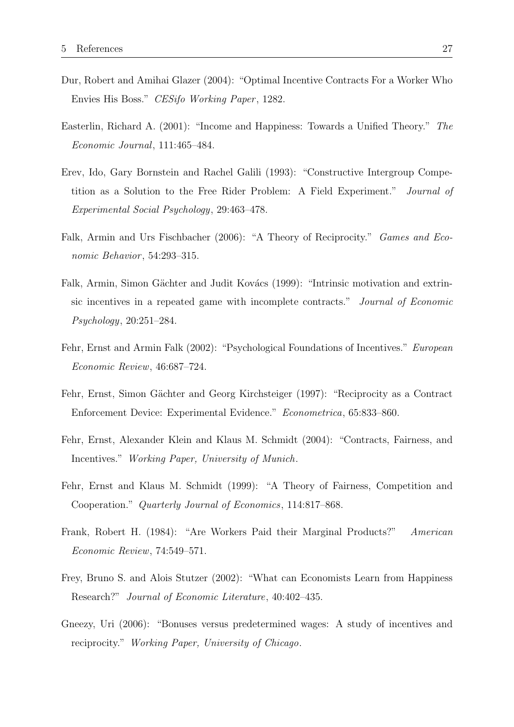- Dur, Robert and Amihai Glazer (2004): "Optimal Incentive Contracts For a Worker Who Envies His Boss." CESifo Working Paper, 1282.
- Easterlin, Richard A. (2001): "Income and Happiness: Towards a Unified Theory." The Economic Journal, 111:465–484.
- Erev, Ido, Gary Bornstein and Rachel Galili (1993): "Constructive Intergroup Competition as a Solution to the Free Rider Problem: A Field Experiment." Journal of Experimental Social Psychology, 29:463–478.
- Falk, Armin and Urs Fischbacher (2006): "A Theory of Reciprocity." *Games and Eco*nomic Behavior, 54:293-315.
- Falk, Armin, Simon Gächter and Judit Kovács (1999): "Intrinsic motivation and extrinsic incentives in a repeated game with incomplete contracts." Journal of Economic Psychology, 20:251–284.
- Fehr, Ernst and Armin Falk (2002): "Psychological Foundations of Incentives." European Economic Review, 46:687–724.
- Fehr, Ernst, Simon Gächter and Georg Kirchsteiger (1997): "Reciprocity as a Contract Enforcement Device: Experimental Evidence." Econometrica, 65:833–860.
- Fehr, Ernst, Alexander Klein and Klaus M. Schmidt (2004): "Contracts, Fairness, and Incentives." Working Paper, University of Munich.
- Fehr, Ernst and Klaus M. Schmidt (1999): "A Theory of Fairness, Competition and Cooperation." Quarterly Journal of Economics, 114:817–868.
- Frank, Robert H. (1984): "Are Workers Paid their Marginal Products?" American Economic Review, 74:549–571.
- Frey, Bruno S. and Alois Stutzer (2002): "What can Economists Learn from Happiness Research?" Journal of Economic Literature, 40:402–435.
- Gneezy, Uri (2006): "Bonuses versus predetermined wages: A study of incentives and reciprocity." Working Paper, University of Chicago.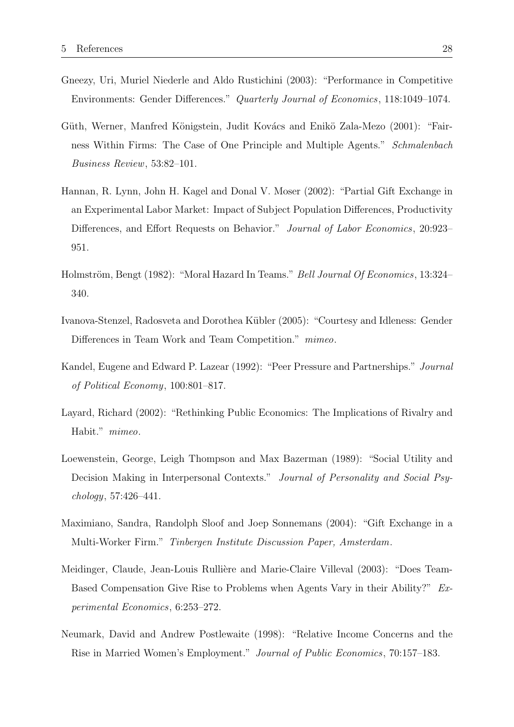- Gneezy, Uri, Muriel Niederle and Aldo Rustichini (2003): "Performance in Competitive Environments: Gender Differences." Quarterly Journal of Economics, 118:1049–1074.
- Güth, Werner, Manfred Königstein, Judit Kovács and Enikö Zala-Mezo (2001): "Fairness Within Firms: The Case of One Principle and Multiple Agents." Schmalenbach Business Review, 53:82–101.
- Hannan, R. Lynn, John H. Kagel and Donal V. Moser (2002): "Partial Gift Exchange in an Experimental Labor Market: Impact of Subject Population Differences, Productivity Differences, and Effort Requests on Behavior." Journal of Labor Economics, 20:923– 951.
- Holmström, Bengt (1982): "Moral Hazard In Teams." Bell Journal Of Economics, 13:324– 340.
- Ivanova-Stenzel, Radosveta and Dorothea Kübler (2005): "Courtesy and Idleness: Gender Differences in Team Work and Team Competition." mimeo.
- Kandel, Eugene and Edward P. Lazear (1992): "Peer Pressure and Partnerships." Journal of Political Economy, 100:801–817.
- Layard, Richard (2002): "Rethinking Public Economics: The Implications of Rivalry and Habit." mimeo.
- Loewenstein, George, Leigh Thompson and Max Bazerman (1989): "Social Utility and Decision Making in Interpersonal Contexts." Journal of Personality and Social Psychology, 57:426–441.
- Maximiano, Sandra, Randolph Sloof and Joep Sonnemans (2004): "Gift Exchange in a Multi-Worker Firm." Tinbergen Institute Discussion Paper, Amsterdam.
- Meidinger, Claude, Jean-Louis Rullière and Marie-Claire Villeval (2003): "Does Team-Based Compensation Give Rise to Problems when Agents Vary in their Ability?" Experimental Economics, 6:253–272.
- Neumark, David and Andrew Postlewaite (1998): "Relative Income Concerns and the Rise in Married Women's Employment." Journal of Public Economics, 70:157–183.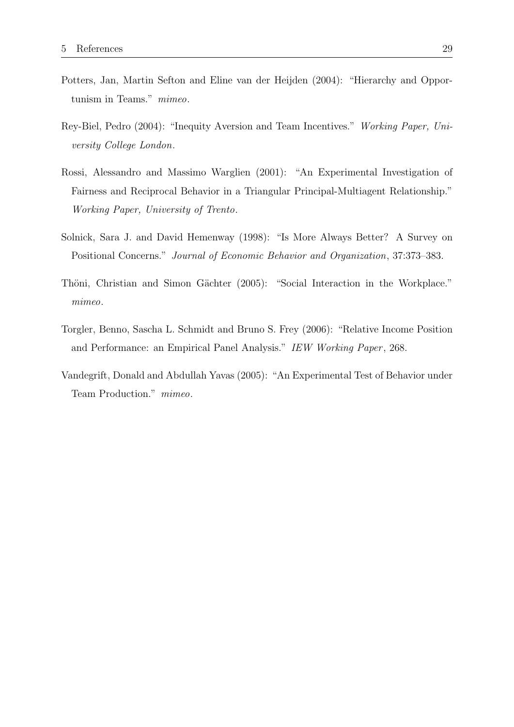- Potters, Jan, Martin Sefton and Eline van der Heijden (2004): "Hierarchy and Opportunism in Teams." mimeo.
- Rey-Biel, Pedro (2004): "Inequity Aversion and Team Incentives." Working Paper, University College London.
- Rossi, Alessandro and Massimo Warglien (2001): "An Experimental Investigation of Fairness and Reciprocal Behavior in a Triangular Principal-Multiagent Relationship." Working Paper, University of Trento.
- Solnick, Sara J. and David Hemenway (1998): "Is More Always Better? A Survey on Positional Concerns." Journal of Economic Behavior and Organization, 37:373–383.
- Thöni, Christian and Simon Gächter (2005): "Social Interaction in the Workplace." mimeo.
- Torgler, Benno, Sascha L. Schmidt and Bruno S. Frey (2006): "Relative Income Position and Performance: an Empirical Panel Analysis." IEW Working Paper, 268.
- Vandegrift, Donald and Abdullah Yavas (2005): "An Experimental Test of Behavior under Team Production." mimeo.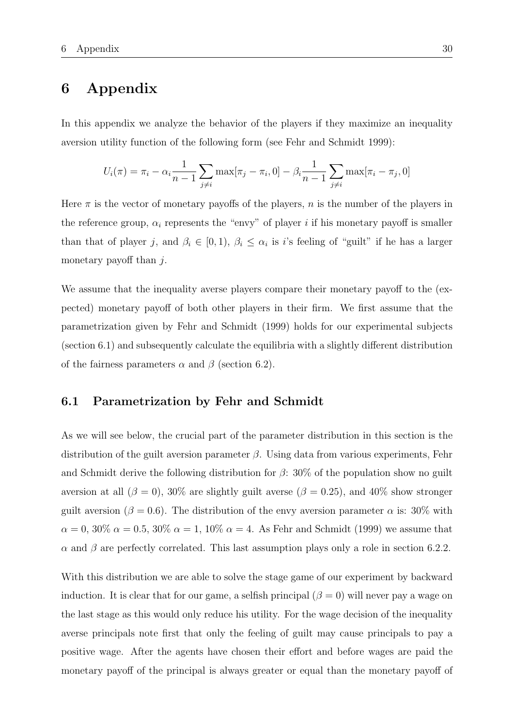### 6 Appendix

In this appendix we analyze the behavior of the players if they maximize an inequality aversion utility function of the following form (see Fehr and Schmidt 1999):

$$
U_i(\pi) = \pi_i - \alpha_i \frac{1}{n-1} \sum_{j \neq i} \max[\pi_j - \pi_i, 0] - \beta_i \frac{1}{n-1} \sum_{j \neq i} \max[\pi_i - \pi_j, 0]
$$

Here  $\pi$  is the vector of monetary payoffs of the players, n is the number of the players in the reference group,  $\alpha_i$  represents the "envy" of player i if his monetary payoff is smaller than that of player j, and  $\beta_i \in [0,1)$ ,  $\beta_i \leq \alpha_i$  is i's feeling of "guilt" if he has a larger monetary payoff than  $i$ .

We assume that the inequality averse players compare their monetary payoff to the (expected) monetary payoff of both other players in their firm. We first assume that the parametrization given by Fehr and Schmidt (1999) holds for our experimental subjects (section 6.1) and subsequently calculate the equilibria with a slightly different distribution of the fairness parameters  $\alpha$  and  $\beta$  (section 6.2).

### 6.1 Parametrization by Fehr and Schmidt

As we will see below, the crucial part of the parameter distribution in this section is the distribution of the guilt aversion parameter  $\beta$ . Using data from various experiments, Fehr and Schmidt derive the following distribution for  $\beta$ : 30% of the population show no guilt aversion at all  $(\beta = 0)$ , 30% are slightly guilt averse  $(\beta = 0.25)$ , and 40% show stronger guilt aversion ( $\beta = 0.6$ ). The distribution of the envy aversion parameter  $\alpha$  is: 30% with  $\alpha = 0, 30\% \; \alpha = 0.5, 30\% \; \alpha = 1, 10\% \; \alpha = 4.$  As Fehr and Schmidt (1999) we assume that  $\alpha$  and  $\beta$  are perfectly correlated. This last assumption plays only a role in section 6.2.2.

With this distribution we are able to solve the stage game of our experiment by backward induction. It is clear that for our game, a selfish principal  $(\beta = 0)$  will never pay a wage on the last stage as this would only reduce his utility. For the wage decision of the inequality averse principals note first that only the feeling of guilt may cause principals to pay a positive wage. After the agents have chosen their effort and before wages are paid the monetary payoff of the principal is always greater or equal than the monetary payoff of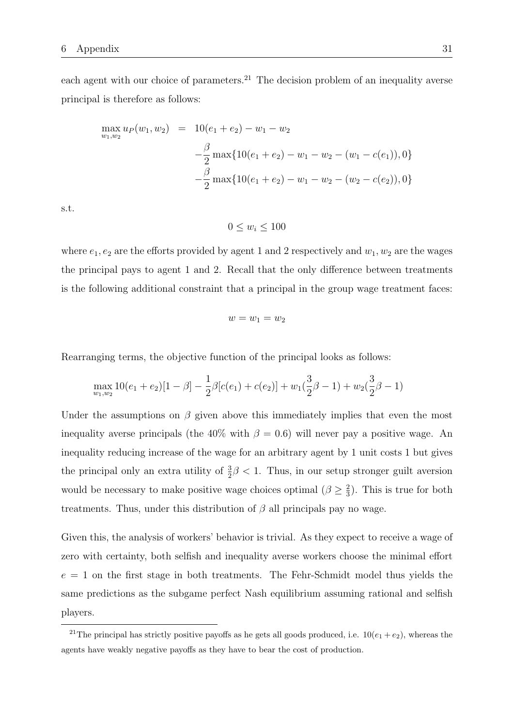each agent with our choice of parameters.<sup>21</sup> The decision problem of an inequality averse principal is therefore as follows:

$$
\max_{w_1, w_2} u_P(w_1, w_2) = 10(e_1 + e_2) - w_1 - w_2
$$
  

$$
-\frac{\beta}{2} \max\{10(e_1 + e_2) - w_1 - w_2 - (w_1 - c(e_1)), 0\}
$$
  

$$
-\frac{\beta}{2} \max\{10(e_1 + e_2) - w_1 - w_2 - (w_2 - c(e_2)), 0\}
$$

s.t.

 $0 \leq w_i \leq 100$ 

where  $e_1, e_2$  are the efforts provided by agent 1 and 2 respectively and  $w_1, w_2$  are the wages the principal pays to agent 1 and 2. Recall that the only difference between treatments is the following additional constraint that a principal in the group wage treatment faces:

$$
w=w_1=w_2
$$

Rearranging terms, the objective function of the principal looks as follows:

$$
\max_{w_1, w_2} 10(e_1 + e_2)[1 - \beta] - \frac{1}{2}\beta[c(e_1) + c(e_2)] + w_1(\frac{3}{2}\beta - 1) + w_2(\frac{3}{2}\beta - 1)
$$

Under the assumptions on  $\beta$  given above this immediately implies that even the most inequality averse principals (the  $40\%$  with  $\beta = 0.6$ ) will never pay a positive wage. An inequality reducing increase of the wage for an arbitrary agent by 1 unit costs 1 but gives the principal only an extra utility of  $\frac{3}{2}\beta < 1$ . Thus, in our setup stronger guilt aversion would be necessary to make positive wage choices optimal  $(\beta \geq \frac{2}{3})$  $\frac{2}{3}$ ). This is true for both treatments. Thus, under this distribution of  $\beta$  all principals pay no wage.

Given this, the analysis of workers' behavior is trivial. As they expect to receive a wage of zero with certainty, both selfish and inequality averse workers choose the minimal effort  $e = 1$  on the first stage in both treatments. The Fehr-Schmidt model thus yields the same predictions as the subgame perfect Nash equilibrium assuming rational and selfish players.

<sup>&</sup>lt;sup>21</sup>The principal has strictly positive payoffs as he gets all goods produced, i.e.  $10(e_1 + e_2)$ , whereas the agents have weakly negative payoffs as they have to bear the cost of production.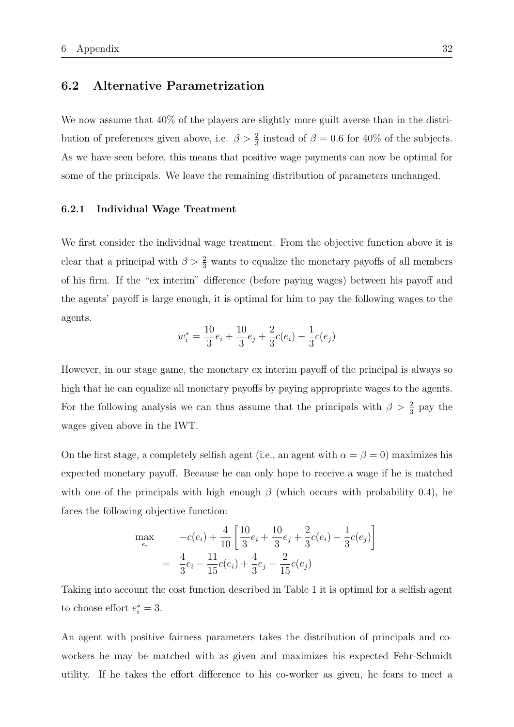### 6.2 Alternative Parametrization

We now assume that  $40\%$  of the players are slightly more guilt averse than in the distribution of preferences given above, i.e.  $\beta > \frac{2}{3}$  instead of  $\beta = 0.6$  for 40% of the subjects. As we have seen before, this means that positive wage payments can now be optimal for some of the principals. We leave the remaining distribution of parameters unchanged.

#### 6.2.1 Individual Wage Treatment

We first consider the individual wage treatment. From the objective function above it is clear that a principal with  $\beta > \frac{2}{3}$  wants to equalize the monetary payoffs of all members of his firm. If the "ex interim" difference (before paying wages) between his payoff and the agents' payoff is large enough, it is optimal for him to pay the following wages to the agents.

$$
w_i^* = \frac{10}{3}e_i + \frac{10}{3}e_j + \frac{2}{3}c(e_i) - \frac{1}{3}c(e_j)
$$

However, in our stage game, the monetary ex interim payoff of the principal is always so high that he can equalize all monetary payoffs by paying appropriate wages to the agents. For the following analysis we can thus assume that the principals with  $\beta > \frac{2}{3}$  pay the wages given above in the IWT.

On the first stage, a completely selfish agent (i.e., an agent with  $\alpha = \beta = 0$ ) maximizes his expected monetary payoff. Because he can only hope to receive a wage if he is matched with one of the principals with high enough  $\beta$  (which occurs with probability 0.4), he faces the following objective function:

$$
\max_{e_i} \qquad -c(e_i) + \frac{4}{10} \left[ \frac{10}{3} e_i + \frac{10}{3} e_j + \frac{2}{3} c(e_i) - \frac{1}{3} c(e_j) \right]
$$
\n
$$
= \frac{4}{3} e_i - \frac{11}{15} c(e_i) + \frac{4}{3} e_j - \frac{2}{15} c(e_j)
$$

Taking into account the cost function described in Table 1 it is optimal for a selfish agent to choose effort  $e_i^* = 3$ .

An agent with positive fairness parameters takes the distribution of principals and coworkers he may be matched with as given and maximizes his expected Fehr-Schmidt utility. If he takes the effort difference to his co-worker as given, he fears to meet a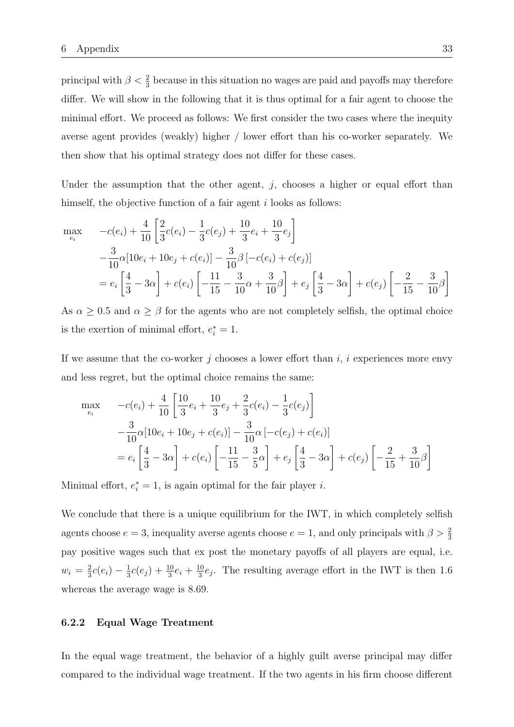principal with  $\beta < \frac{2}{3}$  because in this situation no wages are paid and payoffs may therefore differ. We will show in the following that it is thus optimal for a fair agent to choose the minimal effort. We proceed as follows: We first consider the two cases where the inequity averse agent provides (weakly) higher / lower effort than his co-worker separately. We then show that his optimal strategy does not differ for these cases.

Under the assumption that the other agent,  $j$ , chooses a higher or equal effort than himself, the objective function of a fair agent i looks as follows:

$$
\max_{e_i} \quad -c(e_i) + \frac{4}{10} \left[ \frac{2}{3}c(e_i) - \frac{1}{3}c(e_j) + \frac{10}{3}e_i + \frac{10}{3}e_j \right] \n- \frac{3}{10} \alpha [10e_i + 10e_j + c(e_i)] - \frac{3}{10} \beta [-c(e_i) + c(e_j)] \n= e_i \left[ \frac{4}{3} - 3\alpha \right] + c(e_i) \left[ -\frac{11}{15} - \frac{3}{10} \alpha + \frac{3}{10} \beta \right] + e_j \left[ \frac{4}{3} - 3\alpha \right] + c(e_j) \left[ -\frac{2}{15} - \frac{3}{10} \beta \right]
$$

As  $\alpha \geq 0.5$  and  $\alpha \geq \beta$  for the agents who are not completely selfish, the optimal choice is the exertion of minimal effort,  $e_i^* = 1$ .

If we assume that the co-worker j chooses a lower effort than  $i, i$  experiences more envy and less regret, but the optimal choice remains the same:

$$
\max_{e_i} \quad -c(e_i) + \frac{4}{10} \left[ \frac{10}{3} e_i + \frac{10}{3} e_j + \frac{2}{3} c(e_i) - \frac{1}{3} c(e_j) \right] \n- \frac{3}{10} \alpha [10 e_i + 10 e_j + c(e_i)] - \frac{3}{10} \alpha [-c(e_j) + c(e_i)] \n= e_i \left[ \frac{4}{3} - 3\alpha \right] + c(e_i) \left[ -\frac{11}{15} - \frac{3}{5}\alpha \right] + e_j \left[ \frac{4}{3} - 3\alpha \right] + c(e_j) \left[ -\frac{2}{15} + \frac{3}{10}\beta \right]
$$

Minimal effort,  $e_i^* = 1$ , is again optimal for the fair player *i*.

We conclude that there is a unique equilibrium for the IWT, in which completely selfish agents choose  $e = 3$ , inequality averse agents choose  $e = 1$ , and only principals with  $\beta > \frac{2}{3}$ pay positive wages such that ex post the monetary payoffs of all players are equal, i.e.  $w_i = \frac{2}{3}$  $\frac{2}{3}c(e_i) - \frac{1}{3}$  $\frac{1}{3}c(e_j) + \frac{10}{3}e_i + \frac{10}{3}$  $\frac{10}{3}e_j$ . The resulting average effort in the IWT is then 1.6 whereas the average wage is 8.69.

#### 6.2.2 Equal Wage Treatment

In the equal wage treatment, the behavior of a highly guilt averse principal may differ compared to the individual wage treatment. If the two agents in his firm choose different